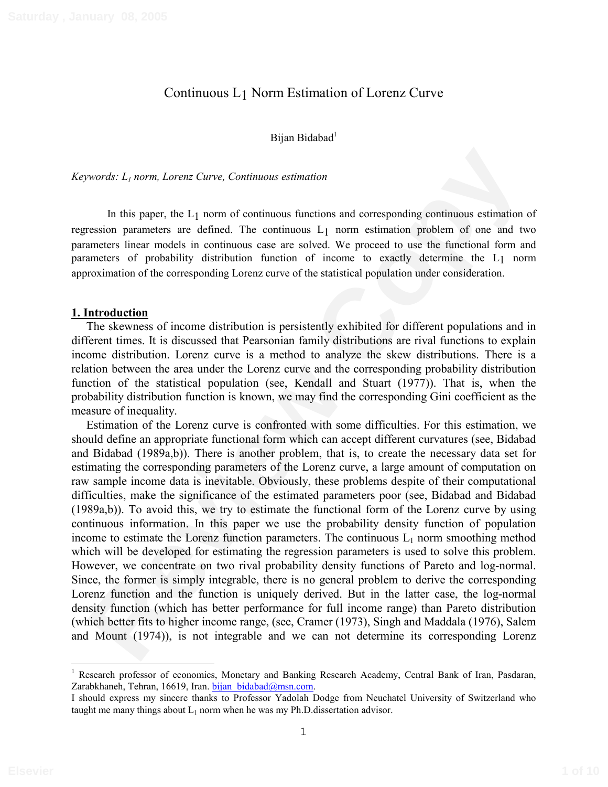# Continuous L1 Norm Estimation of Lorenz Curve

#### Bijan Bidabad<sup>1</sup>

*Keywords: L1 norm, Lorenz Curve, Continuous estimation* 

In this paper, the  $L_1$  norm of continuous functions and corresponding continuous estimation of regression parameters are defined. The continuous L1 norm estimation problem of one and two parameters linear models in continuous case are solved. We proceed to use the functional form and parameters of probability distribution function of income to exactly determine the L1 norm approximation of the corresponding Lorenz curve of the statistical population under consideration.

#### **1. Introduction**

The skewness of income distribution is persistently exhibited for different populations and in different times. It is discussed that Pearsonian family distributions are rival functions to explain income distribution. Lorenz curve is a method to analyze the skew distributions. There is a relation between the area under the Lorenz curve and the corresponding probability distribution function of the statistical population (see, Kendall and Stuart (1977)). That is, when the probability distribution function is known, we may find the corresponding Gini coefficient as the measure of inequality.

**Example 10** In this paper, the L<sub>1</sub> norm, *Lorens* Carrie, *Continuous* entimation and corresponding continuous estimation of this contribution in the contribution probability distribution in the contribution of the contr Estimation of the Lorenz curve is confronted with some difficulties. For this estimation, we should define an appropriate functional form which can accept different curvatures (see, Bidabad and Bidabad (1989a,b)). There is another problem, that is, to create the necessary data set for estimating the corresponding parameters of the Lorenz curve, a large amount of computation on raw sample income data is inevitable. Obviously, these problems despite of their computational difficulties, make the significance of the estimated parameters poor (see, Bidabad and Bidabad (1989a,b)). To avoid this, we try to estimate the functional form of the Lorenz curve by using continuous information. In this paper we use the probability density function of population income to estimate the Lorenz function parameters. The continuous  $L_1$  norm smoothing method which will be developed for estimating the regression parameters is used to solve this problem. However, we concentrate on two rival probability density functions of Pareto and log-normal. Since, the former is simply integrable, there is no general problem to derive the corresponding Lorenz function and the function is uniquely derived. But in the latter case, the log-normal density function (which has better performance for full income range) than Pareto distribution (which better fits to higher income range, (see, Cramer (1973), Singh and Maddala (1976), Salem and Mount (1974)), is not integrable and we can not determine its corresponding Lorenz

<sup>&</sup>lt;sup>1</sup> Research professor of economics, Monetary and Banking Research Academy, Central Bank of Iran, Pasdaran, Zarabkhaneh, Tehran, 16619, Iran, bijan bidabad@msn.com.

I should express my sincere thanks to Professor Yadolah Dodge from Neuchatel University of Switzerland who taught me many things about  $L_1$  norm when he was my Ph.D. dissertation advisor.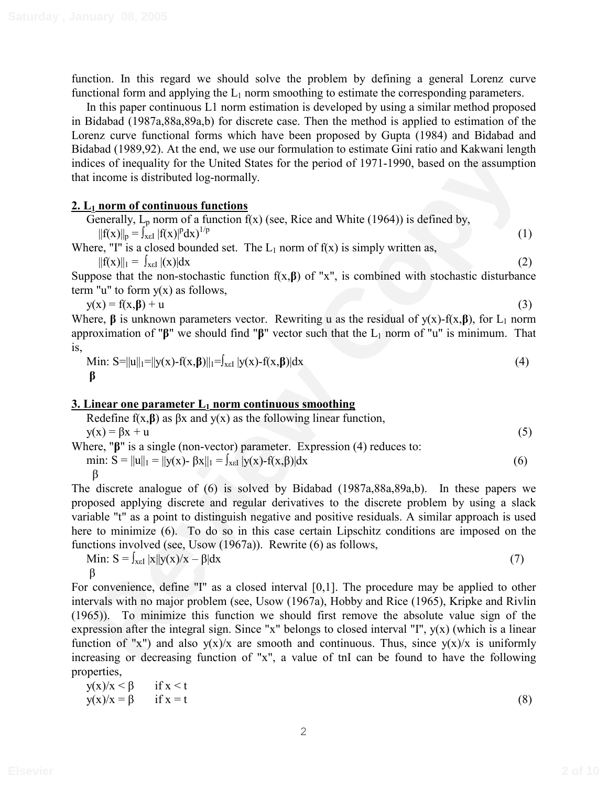function. In this regard we should solve the problem by defining a general Lorenz curve functional form and applying the  $L_1$  norm smoothing to estimate the corresponding parameters.

In this paper continuous L1 norm estimation is developed by using a similar method proposed in Bidabad (1987a,88a,89a,b) for discrete case. Then the method is applied to estimation of the Lorenz curve functional forms which have been proposed by Gupta (1984) and Bidabad and Bidabad (1989,92). At the end, we use our formulation to estimate Gini ratio and Kakwani length indices of inequality for the United States for the period of 1971-1990, based on the assumption that income is distributed log-normally.

# **2. L1 norm of continuous functions**

| Generally, $L_p$ norm of a function $f(x)$ (see, Rice and White (1964)) is defined by,            |  |
|---------------------------------------------------------------------------------------------------|--|
| $  f(x)  _p = \int_{x \in I}  f(x) ^p dx$ <sup>1/p</sup>                                          |  |
| Where $\mathbb{I}^{\mathbb{I}}$ is a closed bounded set The L norm of $f(x)$ is simply written as |  |

Where, "I" is a closed bounded set. The  $L_1$  norm of  $f(x)$  is simply written as,  $||f(x)||_1 = \int_{x \in I} |(x)| dx$  (2)

Suppose that the non-stochastic function  $f(x,\beta)$  of "x", is combined with stochastic disturbance term "u" to form  $y(x)$  as follows,

 $y(x) = f(x, \beta) + u$  (3)

Where,  $\beta$  is unknown parameters vector. Rewriting u as the residual of  $y(x)$ -f(x, $\beta$ ), for L<sub>1</sub> norm approximation of " $\beta$ " we should find " $\beta$ " vector such that the L<sub>1</sub> norm of "u" is minimum. That is,

Min: S=||u||<sub>1</sub>=||y(x)-f(x,\beta)||<sub>1</sub>=
$$
\int_{x\in I}
$$
 |y(x)-f(x,\beta)|dx\n  
\n(4)

# **3. Linear one parameter**  $L_1$  **norm continuous smoothing**

Redefine  $f(x,\beta)$  as  $\beta x$  and  $y(x)$  as the following linear function,  $y(x) = \beta x + u$  (5) Where,  $\mathbf{F}$ " is a single (non-vector) parameter. Expression (4) reduces to: min:  $S = ||u||_1 = ||y(x) - \beta x||_1 = \int_{x \in I} |y(x) - f(x, \beta)| dx$  (6)

$$
\beta
$$

The discrete analogue of (6) is solved by Bidabad (1987a,88a,89a,b). In these papers we proposed applying discrete and regular derivatives to the discrete problem by using a slack variable "t" as a point to distinguish negative and positive residuals. A similar approach is used here to minimize (6). To do so in this case certain Lipschitz conditions are imposed on the functions involved (see, Usow (1967a)). Rewrite (6) as follows,

Min: 
$$
S = \int_{x \in I} |x||y(x)/x - \beta| dx
$$
 (7)  
 $\beta$ 

ana (1989/92). At the end, we use our formulation to estimate cuint ratio and a Rawaran iength<br>
Recise of inequality for the United States for the period of 1971-1990, based on the assumption<br>
Theorem of confinition of th For convenience, define "I" as a closed interval [0,1]. The procedure may be applied to other intervals with no major problem (see, Usow (1967a), Hobby and Rice (1965), Kripke and Rivlin (1965)). To minimize this function we should first remove the absolute value sign of the expression after the integral sign. Since "x" belongs to closed interval "I", y(x) (which is a linear function of "x") and also  $y(x)/x$  are smooth and continuous. Thus, since  $y(x)/x$  is uniformly increasing or decreasing function of "x", a value of tnI can be found to have the following properties,

$$
y(x)/x < \beta \quad \text{if } x < t
$$
  
\n
$$
y(x)/x = \beta \quad \text{if } x = t
$$
\n(8)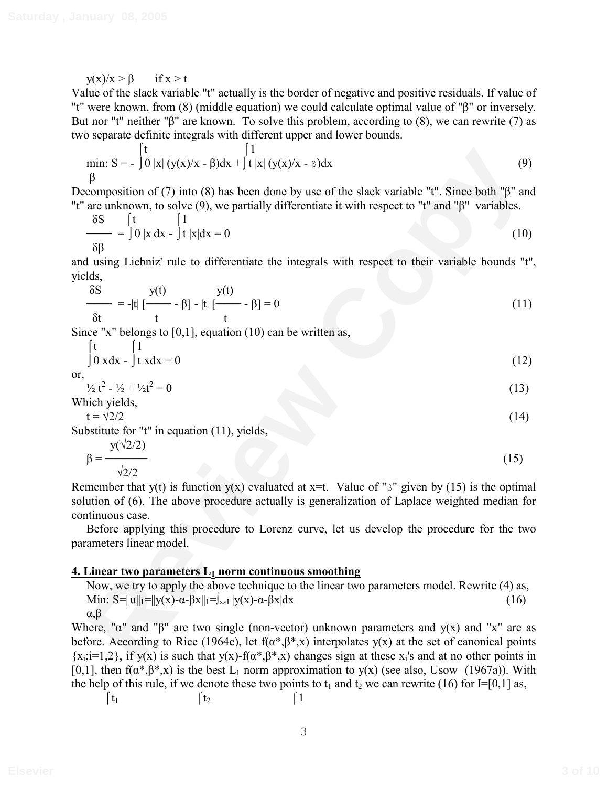$y(x)/x > \beta$  if  $x > t$ 

Value of the slack variable "t" actually is the border of negative and positive residuals. If value of "t" were known, from (8) (middle equation) we could calculate optimal value of " $\beta$ " or inversely. But nor "t" neither " $\beta$ " are known. To solve this problem, according to (8), we can rewrite (7) as two separate definite integrals with different upper and lower bounds.

min: S = 
$$
\int_{0}^{t} |x| (y(x)/x - \beta) dx + \int_{0}^{t} |x| (y(x)/x - \beta) dx
$$
 (9)

Decomposition of (7) into (8) has been done by use of the slack variable "t". Since both " $\beta$ " and "t" are unknown, to solve (9), we partially differentiate it with respect to "t" and " $\beta$ " variables.

$$
\frac{\delta S}{\delta \beta} = \int_0^t 0 |x| dx - \int_0^t 1 |x| dx = 0
$$
 (10)

and using Liebniz' rule to differentiate the integrals with respect to their variable bounds "t", yields,

$$
\frac{\delta S}{\delta t} = -|t| \left[ \frac{y(t)}{t} - \beta \right] - |t| \left[ \frac{y(t)}{t} - \beta \right] = 0 \tag{11}
$$

Since "x" belongs to [0,1], equation (10) can be written as,

$$
\int_{0}^{t} \frac{1}{x} dx = 0
$$
 (12)

or,

 $\frac{1}{2}t^2 - \frac{1}{2} + \frac{1}{2}t^2 = 0$  (13)

Which yields,

 $t = \sqrt{2}/2$  (14)

Substitute for "t" in equation (11), yields,

$$
\beta = \frac{y(\sqrt{2}/2)}{\sqrt{2}/2} \tag{15}
$$

min:  $S = -\int_{0}^{1} |x| (y(x)/x - \beta) dx + \int_{1}^{1} |x| (y(x)/x - \beta) dx$  (9)<br>
for examples of (7) into (8) has been done by use of the slack variable "t". Since both "f" and<br>
are unknown, to solve (9), we partially differentiate it with res Remember that y(t) is function y(x) evaluated at  $x=t$ . Value of " $\beta$ " given by (15) is the optimal solution of (6). The above procedure actually is generalization of Laplace weighted median for continuous case.

Before applying this procedure to Lorenz curve, let us develop the procedure for the two parameters linear model.

#### **4. Linear two parameters L<sub>1</sub> norm continuous smoothing**

Now, we try to apply the above technique to the linear two parameters model. Rewrite (4) as, Min:  $S=||u||_1=||y(x)-\alpha-\beta x||_1=J_{x\in I} |y(x)-\alpha-\beta x|dx$  (16)  $\alpha$ , $\beta$ 

Where, " $\alpha$ " and " $\beta$ " are two single (non-vector) unknown parameters and y(x) and "x" are as before. According to Rice (1964c), let  $f(\alpha^*,\beta^*,x)$  interpolates  $y(x)$  at the set of canonical points  ${x_i; i=1,2}$ , if y(x) is such that y(x)-f( $\alpha^*, \beta^*, x$ ) changes sign at these x<sub>i</sub>'s and at no other points in [0,1], then  $f(\alpha^*,\beta^*,x)$  is the best L<sub>1</sub> norm approximation to y(x) (see also, Usow (1967a)). With the help of this rule, if we denote these two points to  $t_1$  and  $t_2$  we can rewrite (16) for I=[0,1] as,

$$
\begin{array}{ccc}\n\int t_1 & \qquad & \int t_2 & \qquad & \int 1\n\end{array}
$$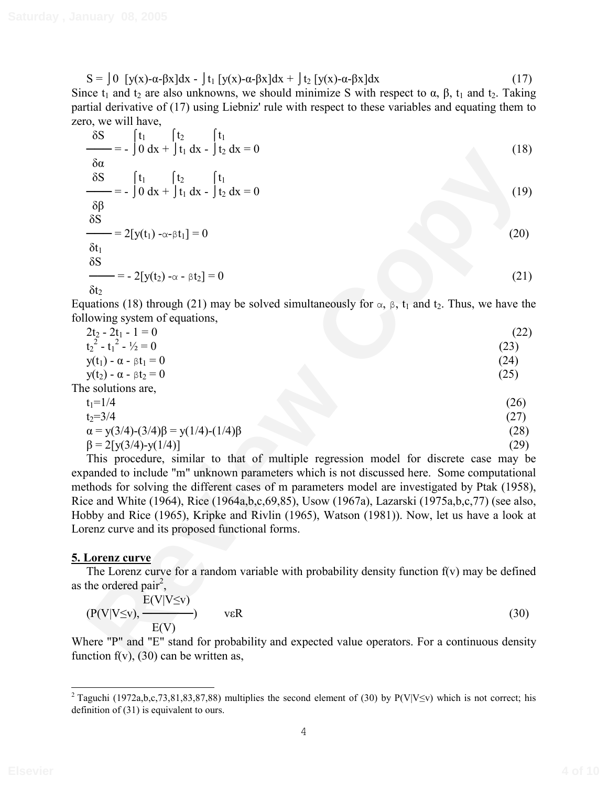$S = \int 0 \int y(x) - \alpha - \beta x \, dx - \int t_1 \int y(x) - \alpha - \beta x \, dx + \int t_2 \int y(x) - \alpha - \beta x \, dx$  (17) Since  $t_1$  and  $t_2$  are also unknowns, we should minimize S with respect to  $\alpha$ ,  $\beta$ ,  $t_1$  and  $t_2$ . Taking partial derivative of (17) using Liebniz' rule with respect to these variables and equating them to zero, we will have,

| $\frac{\delta S}{\delta s}$ = $\int_0^t t_1 \int_0^t t_2 \int_0^t t_1 dx - \int_0^t t_2 dx = 0$                               |      |
|-------------------------------------------------------------------------------------------------------------------------------|------|
|                                                                                                                               | (18) |
| $\delta \alpha$                                                                                                               |      |
| $\frac{\delta S}{\delta s}$ = $\int_0^t \frac{t_1}{t_1} dt_2 + \int_0^t \frac{t_1}{t_2} dx - \int_0^t \frac{t_1}{t_2} dx = 0$ | (19) |
| $\delta\beta$                                                                                                                 |      |
| $\delta S$                                                                                                                    |      |
| $\frac{\ }{\ }$ = 2[y(t <sub>1</sub> ) - $\alpha$ - $\beta$ t <sub>1</sub> ] = 0                                              | (20) |
| $\delta t_1$                                                                                                                  |      |
| $\delta S$                                                                                                                    |      |
| $\frac{\ }{\ }$ = - 2[y(t <sub>2</sub> ) - $\alpha$ - $\beta$ t <sub>2</sub> ] = 0                                            | (21) |
| $\delta t_2$                                                                                                                  |      |
| quations (18) through (21) may be solved simultaneously for $\alpha$ , $\beta$ , $t_1$ and $t_2$ . Thus, we have the          |      |
| llowing system of equations,                                                                                                  |      |
| $2t_2 - 2t_1 - 1 = 0$                                                                                                         | (22) |
| $t_2^2 - t_1^2 - \frac{1}{2} = 0$                                                                                             | (23) |
| $y(t_1) - \alpha - \beta t_1 = 0$                                                                                             | (24) |
| $y(t_2) - \alpha - \beta t_2 = 0$<br>ne solutions are,                                                                        | (25) |
| $t_1 = 1/4$                                                                                                                   | (26) |
| $t_2 = 3/4$                                                                                                                   | (27) |
| $\alpha = y(3/4)-(3/4)\beta = y(1/4)-(1/4)\beta$                                                                              | (28) |
| $\beta = 2[y(3/4)-y(1/4)]$                                                                                                    | (29) |
| This procedure, similar to that of multiple regression model for discrete case may be                                         |      |
| panded to include "m" unknown parameters which is not discussed here. Some computational                                      |      |
| ethods for solving the different cases of m parameters model are investigated by Ptak (1958),                                 |      |
| ice and White (1964), Rice (1964a,b,c,69,85), Usow (1967a), Lazarski (1975a,b,c,77) (see also,                                |      |
| obby and Rice (1965), Kripke and Rivlin (1965), Watson (1981)). Now, let us have a look at                                    |      |
| prenz curve and its proposed functional forms.                                                                                |      |
|                                                                                                                               |      |
| <b>Lorenz curve</b><br>The Lorenz curve for a random variable with probability density function $f(v)$ may be defined         |      |
| the ordered pair <sup>2</sup> ,                                                                                               |      |
| $E(V V\leq v)$                                                                                                                |      |
| $v\epsilon R$                                                                                                                 | (30) |
| $(P(V V\leq v), \frac{\cdot}{E(V)}$                                                                                           |      |
| 'here "P" and "E" stand for probability and expected value operators. For a continuous density                                |      |
| nction $f(v)$ , (30) can be written as,                                                                                       |      |

| $2t_2 - 2t_1 - 1 = 0$                            | (22) |
|--------------------------------------------------|------|
| $t22 - t12 - \frac{1}{2} = 0$                    | (23) |
| $y(t_1) - \alpha - \beta t_1 = 0$                | (24) |
| $y(t_2) - \alpha - \beta t_2 = 0$                | (25) |
| The solutions are,                               |      |
| $t_1 = 1/4$                                      | (26) |
| $t_2 = 3/4$                                      | (27) |
| $\alpha = y(3/4)-(3/4)\beta = y(1/4)-(1/4)\beta$ | (28) |
| $\beta = 2[y(3/4)-y(1/4)]$                       | (29) |
|                                                  |      |

# **5. Lorenz curve**

$$
(P(V|V\leq v), \frac{E(V|V\leq v)}{E(V)}) \qquad \text{veR}
$$
 (30)

Where "P" and "E" stand for probability and expected value operators. For a continuous density function  $f(v)$ , (30) can be written as,

<sup>&</sup>lt;sup>2</sup> Taguchi (1972a,b,c,73,81,83,87,88) multiplies the second element of (30) by P(V|V $\leq$ v) which is not correct; his definition of (31) is equivalent to ours.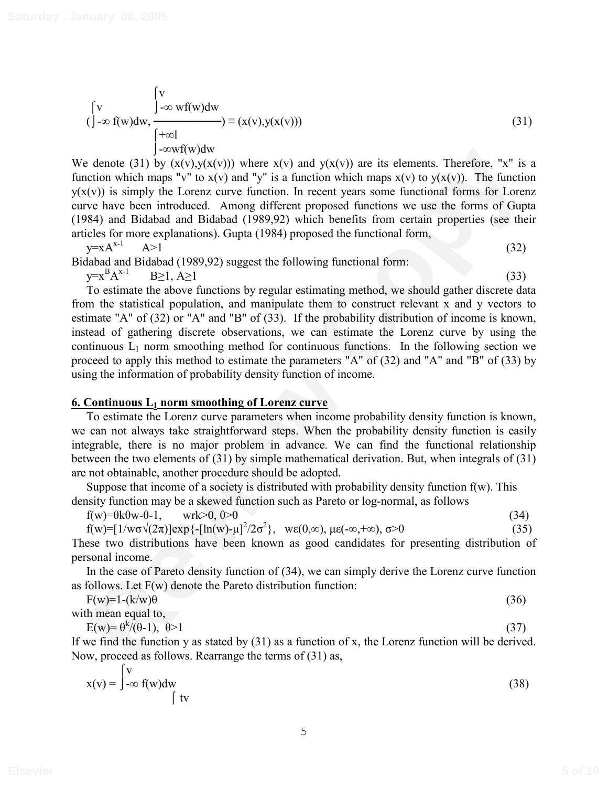$$
\begin{cases}\n\mathbf{v} & \int_{-\infty}^{\infty} \mathbf{v} \mathbf{f}(\mathbf{w}) d\mathbf{w} \\
(\int_{-\infty}^{\infty} \mathbf{f}(\mathbf{w}) d\mathbf{w}, \frac{\int_{-\infty}^{\infty} \mathbf{v} \mathbf{f}(\mathbf{w}) d\mathbf{w}}{\int_{-\infty}^{\infty} \mathbf{v} \mathbf{f}(\mathbf{w}) d\mathbf{w}}\n\end{cases} (31)
$$

We denote (31) by  $(x(y),y(x(y)))$  where  $x(y)$  and  $y(x(y))$  are its elements. Therefore, "x" is a function which maps "v" to  $x(v)$  and "y" is a function which maps  $x(v)$  to  $y(x(v))$ . The function  $y(x(y))$  is simply the Lorenz curve function. In recent years some functional forms for Lorenz curve have been introduced. Among different proposed functions we use the forms of Gupta (1984) and Bidabad and Bidabad (1989,92) which benefits from certain properties (see their articles for more explanations). Gupta (1984) proposed the functional form,

$$
y = xA^{x-1} \qquad A > 1 \tag{32}
$$

Bidabad and Bidabad (1989,92) suggest the following functional form:

y=x B  $A^{x-1}$  B  $\geq 1, A \geq 1$  (33)

**Example 2** Anomaly  $\sim 1-5\times N(W)$  and  $y(x(x))$  are its elements. Therefore, "x" is a denote (31) by  $x(x(y),x(y))$ , then therefore in the control which maps  $x(y)$  to  $x(y)$  and  $y''$  is a function which maps  $x(y)$  to  $x(y)$  and  $y''$ To estimate the above functions by regular estimating method, we should gather discrete data from the statistical population, and manipulate them to construct relevant x and y vectors to estimate "A" of (32) or "A" and "B" of (33). If the probability distribution of income is known, instead of gathering discrete observations, we can estimate the Lorenz curve by using the continuous  $L_1$  norm smoothing method for continuous functions. In the following section we proceed to apply this method to estimate the parameters "A" of (32) and "A" and "B" of (33) by using the information of probability density function of income.

# **6. Continuous L1 norm smoothing of Lorenz curve**

To estimate the Lorenz curve parameters when income probability density function is known, we can not always take straightforward steps. When the probability density function is easily integrable, there is no major problem in advance. We can find the functional relationship between the two elements of (31) by simple mathematical derivation. But, when integrals of (31) are not obtainable, another procedure should be adopted.

Suppose that income of a society is distributed with probability density function  $f(w)$ . This density function may be a skewed function such as Pareto or log-normal, as follows

 $f(w)=0$ k $\theta w - \theta - 1$ , wrk $>0$ ,  $\theta > 0$  (34)

$$
f(w) = [1/w\sigma\sqrt{(2\pi)}exp{-[ln(w)-\mu]^2/2\sigma^2}, \quad \text{we}(0,\infty), \mu\epsilon(-\infty,+\infty), \sigma>0
$$
\n(35)

These two distributions have been known as good candidates for presenting distribution of personal income.

In the case of Pareto density function of (34), we can simply derive the Lorenz curve function as follows. Let F(w) denote the Pareto distribution function:

| $F(w)=1-(k/w)\theta$ | (36) |
|----------------------|------|
| with mean equal to,  |      |

 $E(w) = \theta^k / (\theta - 1), \ \theta > 1$  (37)

If we find the function y as stated by (31) as a function of x, the Lorenz function will be derived. Now, proceed as follows. Rearrange the terms of (31) as,

$$
x(v) = \int_{-\infty}^{v} f(w)dw
$$
 (38)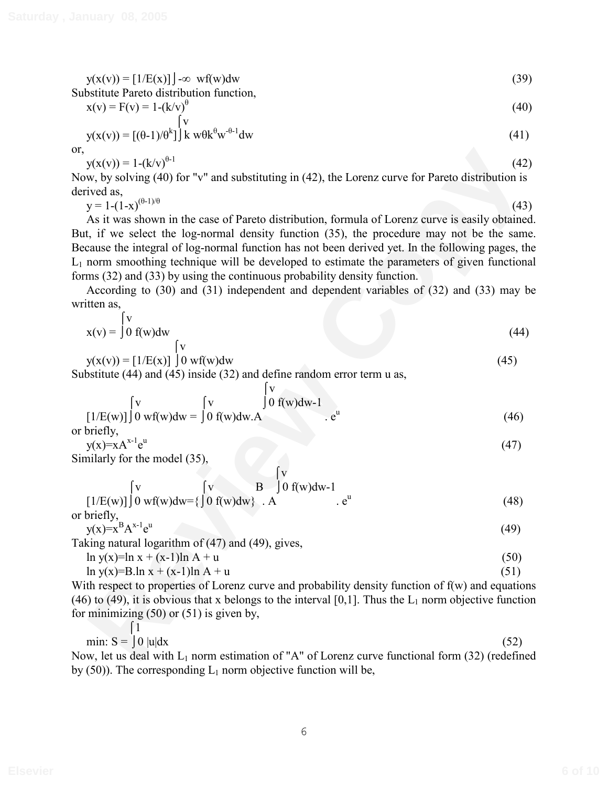$$
y(x(v)) = [1/E(x)] \cdot \infty \text{ wf}(w)dw
$$
\n(39)

Substitute Pareto distribution function,  
\n
$$
x(v) = F(v) = 1-(k/v)^{\theta}
$$
\n(40)

$$
y(x(v)) = [(0-1)/0k](41)
$$

or,

$$
y(x(v)) = 1 - (k/v)^{\theta - 1}
$$
 (42)

Now, by solving (40) for "v" and substituting in (42), the Lorenz curve for Pareto distribution is derived as,

 $y = 1-(1-x)^{(\theta-1)/\theta}$  (43)

 $y(x(y)) = 1-(k/v)^{8+1}$  (42)<br>
we hy solving (40) for "v" and substituting in (42), the Lorenz curve for Pareto distribution is<br>
yet also,<br>
yieved as,<br>
yieved as,<br>
the vise shown in the case of Pareto distribution, formula of I As it was shown in the case of Pareto distribution, formula of Lorenz curve is easily obtained. But, if we select the log-normal density function (35), the procedure may not be the same. Because the integral of log-normal function has not been derived yet. In the following pages, the  $L_1$  norm smoothing technique will be developed to estimate the parameters of given functional forms (32) and (33) by using the continuous probability density function.

According to (30) and (31) independent and dependent variables of (32) and (33) may be written as,

$$
x(v) = \int_0^V f(w) dw
$$
 (44)

$$
y(x(v)) = [1/E(x)] \int 0 w f(w) dw
$$
\n(45)

Substitute (44) and (45) inside (32) and define random error term u as,

$$
\begin{bmatrix} v \\ [1/E(w)] \end{bmatrix} \begin{bmatrix} v \\ 0 \text{ w} \end{bmatrix} \begin{bmatrix} v \\ [1/E(w)] \end{bmatrix} \begin{bmatrix} v \\ [1/E(w)] \end{bmatrix} \begin{bmatrix} v \\ [1/E(w)] \end{bmatrix} \begin{bmatrix} v \\ [1/E(w)] \end{bmatrix} \begin{bmatrix} v \\ [1/E(w)] \end{bmatrix} \begin{bmatrix} v \\ [1/E(w)] \end{bmatrix} \begin{bmatrix} v \\ [1/E(w)] \end{bmatrix} \begin{bmatrix} v \\ [1/E(w)] \end{bmatrix} \begin{bmatrix} v \\ [1/E(w)] \end{bmatrix} \begin{bmatrix} v \\ [1/E(w)] \end{bmatrix} \begin{bmatrix} v \\ [1/E(w)] \end{bmatrix} \begin{bmatrix} v \\ [1/E(w)] \end{bmatrix} \begin{bmatrix} v \\ [1/E(w)] \end{bmatrix} \begin{bmatrix} v \\ [1/E(w)] \end{bmatrix} \begin{bmatrix} v \\ [1/E(w)] \end{bmatrix} \begin{bmatrix} v \\ [1/E(w)] \end{bmatrix} \begin{bmatrix} v \\ [1/E(w)] \end{bmatrix} \begin{bmatrix} v \\ [1/E(w)] \end{bmatrix} \begin{bmatrix} v \\ [1/E(w)] \end{bmatrix} \begin{bmatrix} v \\ [1/E(w)] \end{bmatrix} \begin{bmatrix} v \\ [1/E(w)] \end{bmatrix} \begin{bmatrix} v \\ [1/E(w)] \end{bmatrix} \begin{bmatrix} v \\ [1/E(w)] \end{bmatrix} \begin{bmatrix} v \\ [1/E(w)] \end{bmatrix} \begin{bmatrix} v \\ [1/E(w)] \end{bmatrix} \begin{bmatrix} v \\ [1/E(w)] \end{bmatrix} \begin{bmatrix} v \\ [1/E(w)] \end{bmatrix} \begin{bmatrix} v \\ [1/E(w)] \end{bmatrix} \begin{bmatrix} v \\ [1/E(w)] \end{bmatrix} \begin{bmatrix} v \\ [1/E(w)] \end{bmatrix} \begin{bmatrix} v \\ [1/E(w)] \end{bmatrix} \begin{bmatrix} v \\ [1/E(w)] \end{bmatrix} \begin{bmatrix} v \\ [1/E(w)] \end{bmatrix} \begin{bmatrix} v \\ [1/E(w)] \end{bmatrix} \begin{bmatrix} v \\ [1/E(w)] \end{bmatrix} \begin{bmatrix} v \\ [1 E(w)] \end{bmatrix} \begin{bmatrix} v \\ [1 E(w)] \end{bmatrix} \begin{bmatrix} v \\ [1 E(w)] \end{b
$$

 $y(x)=xA^{x-1}e^u$ u  $(47)$ Similarly for the model (35),

$$
\begin{array}{c}\n\begin{bmatrix}\nv \\
[1/E(w)]\n\end{bmatrix} 0 \text{ wf}(w)dw = \begin{cases}\n\begin{bmatrix}\nv \\
0 f(w)dw\end{bmatrix} & B\n\end{cases}\n\end{array} 0 \text{ f}(w)dw - 1
$$
\nor briefly. (48)

$$
y(x)=x^{B}A^{x-1}e^{u}
$$
\n(49)

Taking natural logarithm of (47) and (49), gives,

$$
\ln y(x) = \ln x + (x-1)\ln A + u \tag{50}
$$

$$
\ln y(x)=B \cdot \ln x + (x-1)\ln A + u
$$
\n<sup>(51)</sup>\nWith respect to properties of Lorsz curve and probability density function of  $f(y)$  and equation.

With respect to properties of Lorenz curve and probability density function of  $f(w)$  and equations (46) to (49), it is obvious that x belongs to the interval [0,1]. Thus the  $L_1$  norm objective function for minimizing  $(50)$  or  $(51)$  is given by,

min: S = 
$$
\int 0 \, |u| \, dx
$$
 (52)

Now, let us deal with  $L_1$  norm estimation of "A" of Lorenz curve functional form (32) (redefined by  $(50)$ ). The corresponding  $L_1$  norm objective function will be,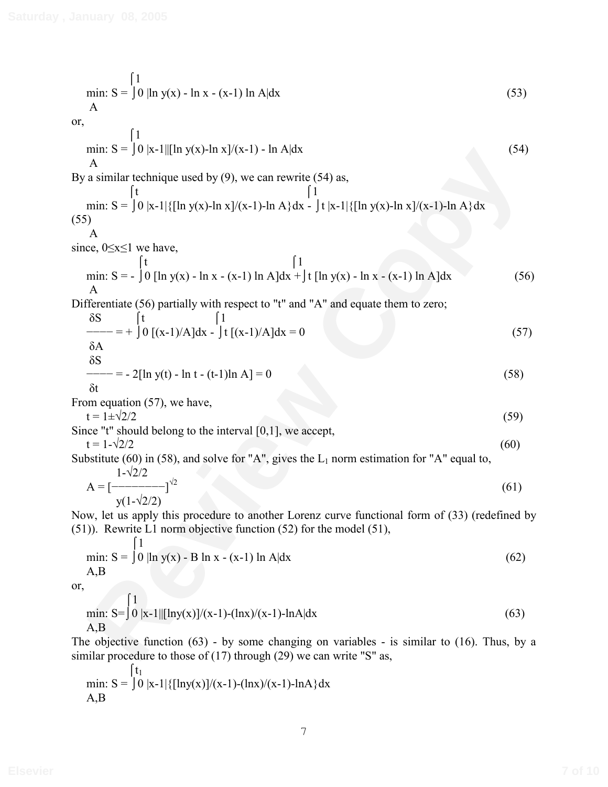min: S = 
$$
\int 0 |\ln y(x) - \ln x - (x-1) \ln A|dx
$$
 (53)  
\nA (54)  
\nor,  
\n $\frac{1}{A}$  (54)  
\nBy a similar technique used by (9), we can rewrite (54) as,  
\n $\frac{1}{11}$  (55)  
\n $\frac{1}{12}$  (56)  
\n $\frac{1}{12}$  (57)  
\n $\frac{1}{12}$  (58)  
\n $\frac{1}{12}$  (59)  
\n $\frac{1}{12}$  (51)  
\n $\frac{1}{12}$  (52)  
\n $\frac{1}{12}$  (53)  
\n $\frac{1}{12}$  (54)  
\n $\frac{1}{12}$  (55)  
\n $\frac{1}{12}$  (56)  
\n $\frac{1}{12}$  (57)  
\n $\frac{1}{12}$  (58)  
\n $\frac{1}{12}$  (59) [ln y(x) - ln x - (x-1) ln A]dx + |t [ln y(x) - ln x - (x-1) ln A]dx (56)  
\nDifferentiate (56) partially with respect to "t" and "A" and equate them to zero;  
\n $\frac{8S}{6S}$  (57)  
\n $\frac{-1}{5A}$  = -2[ln y(t) - ln t - (t-1)ln A] = 0 (58)  
\n $\frac{8}{6t}$  = -2[ln y(t) - ln t - (t-1)ln A] = 0 (58)  
\nFrom equation (57), we have,  
\n $t = 1 \pm \sqrt{2}/2$  (59)  
\nSince "b nould belong to the interval [0,1], we accept,  
\n $t = 1 \pm \sqrt{2}/2$  (59)  
\nSubstitute (60) in (58), and solve for "A", gives the L<sub>1</sub> norm estimation for "A" equal to,  
\n $\frac{1}{1-\sqrt{2}/2}$  (60)  
\nNow, let us apply this procedure to another Lorenz curve functional form of (33) (redefined by  
\n(51)). Rewrite 1, norm objective function (52) for the model (51),  
\n $\frac{1}{1}$  (51)  
\n $\frac{1}{1}$  (52)

min: S = 
$$
\int_0^{1} 0 |x-1| \{[\ln y(x)]/(x-1) - (\ln x)/(x-1) - \ln A\} dx
$$
  
A, B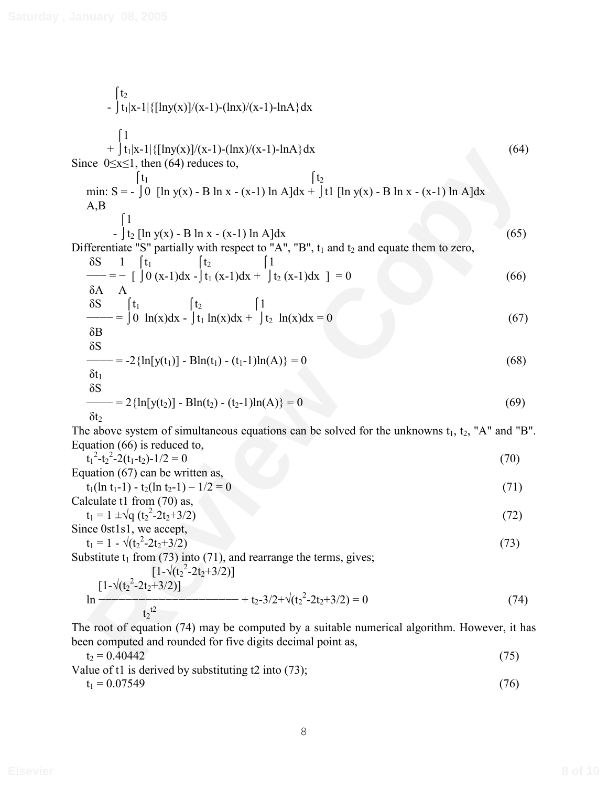Filst<sup>11</sup> [lingw])([kinv](20)](**k**) + [lingw](**k**) + [lingw](**k**) - [lingw](**k**)<br>
min: S = - [b] [ln y(x) - B ln x - (x-1) ln A]dx<br>
min: S = - [b] [ln y(x) - B ln x - (x-1) ln A]dx<br>  $\frac{A}{B}$ <br>  $\frac{B}{B}$ <br>  $\frac{B}{B}$ <br>  $\frac{A}{$  $\int t_2$ -  $|t_1|x-1|$  { $\lceil \ln y(x)\rceil/(x-1) - (\ln x)/(x-1) - \ln A$ }dx  $\lceil 1 \rceil$ +  $|t_1|x-1|$ { $\left[\ln y(x)\right]/(x-1)$ - $\left(\ln x\right)/(x-1)$ - $\ln A$ }dx (64) Since  $0 \le x \le 1$ , then (64) reduces to,  $\begin{bmatrix} t_1 \end{bmatrix}$   $\begin{bmatrix} t_2 \end{bmatrix}$ min: S = -  $\int 0$  [ln y(x) - B ln x - (x-1) ln A]dx +  $\int t1$  [ln y(x) - B ln x - (x-1) ln A]dx A,B  $\lceil 1 \rceil$  $- \int t_2 [\ln y(x) - B \ln x - (x-1) \ln A] dx$  (65) Differentiate "S" partially with respect to "A", "B",  $t_1$  and  $t_2$  and equate them to zero,  $\delta S$  1  $\int t_1$   $\int t_2$   $\int 1$  $f_{-} = - \int [0 (x-1)dx - (t_1 (x-1)dx + (t_2 (x-1)dx)] = 0$  (66)  $\delta A$  A  $\delta S$   $\int t_1$   $\int t_2$   $\int 1$  $\begin{align} \text{---} = |0 \ln(x) \text{dx} - |\text{t}_1 \ln(x) \text{dx} + |\text{t}_2 \ln(x) \text{dx} = 0 \end{align}$  $\delta B$  $\delta S$  $f = -2\{\ln[y(t_1)] - Bh(t_1) - (t_1-1)ln(A)\} = 0$  (68)  $\delta t_1$  $\delta S$  $\begin{aligned} \text{---} & = 2\{\ln[y(t_2)] - \text{Bln}(t_2) - (t_2 - 1)\ln(A)\} = 0 \end{aligned}$  (69) δt<sub>2</sub> The above system of simultaneous equations can be solved for the unknowns  $t_1, t_2, "A"$  and "B". Equation (66) is reduced to,  $t_1^2 - t_2^2 - 2(t_1 - t_2) - 1/2 = 0$  (70) Equation (67) can be written as,  $t_1(\ln t_1 - 1) - t_2(\ln t_2 - 1) - 1/2 = 0$  (71) Calculate t1 from (70) as,  $t_1 = 1 \pm \sqrt{q (t_2)^2}$  $-2t_2+3/2$  (72) Since 0st1s1, we accept,  $t_1 = 1 - \sqrt{(t_2^2 - 2t_2 + 3/2)}$  (73) Substitute  $t_1$  from (73) into (71), and rearrange the terms, gives;  $[1-\sqrt{(t_2^2-2t_2+3/2)}]$  $[1-\sqrt{(t_2^2-2t_2+3/2)}]$  $\ln \frac{1}{2}$  =  $\ln \frac{1}{2}$  =  $\ln \frac{1}{2}$  =  $\ln \frac{1}{2}$  + t<sub>2</sub>-3/2+ $\sqrt{(t_2^2 - 2t_2 + 3/2)} = 0$  (74)  $t_2$ <sup>t2</sup> The root of equation (74) may be computed by a suitable numerical algorithm. However, it has been computed and rounded for five digits decimal point as,

$$
t_2 = 0.40442
$$
\n
$$
Value of t1 is derived by substituting t2 into (73);
$$
\n
$$
t_1 = 0.07549
$$
\n
$$
(76)
$$

$$
8 \\
$$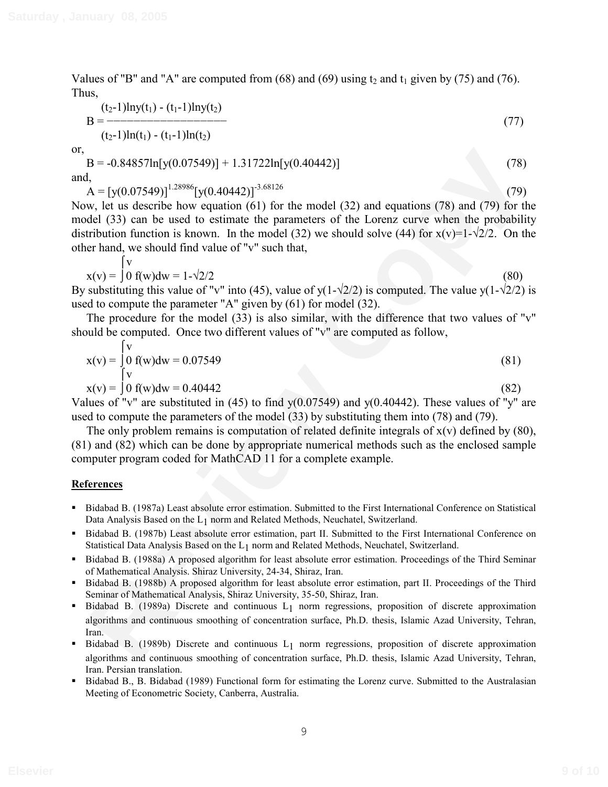Values of "B" and "A" are computed from  $(68)$  and  $(69)$  using  $t_2$  and  $t_1$  given by (75) and (76). Thus,

$$
B = \frac{(t_2-1)\ln y(t_1) - (t_1-1)\ln y(t_2)}{(t_2-1)\ln(t_1) - (t_1-1)\ln(t_2)}
$$
(77)

or,

 $B = -0.84857\ln[y(0.07549)] + 1.31722\ln[y(0.40442)]$  (78)

and,  $A = [y(0.07549)]^{1.28986} [y(0.40442)]^{-3.68126}$  (79)

B = -0.84857ln[y(0.07549)] + 1.317221n[y(0.40442)] (78) (78)<br>
1,<br>
1,  $\Delta = [y(0.07549)]^{-2889}$  (y(0.40442)]<sup>-38126</sup> (79)<br>
(79)<br>
(A = [y(0.07549)]<sup>-2896</sup>[y(0.40442)]<sup>-38126</sup> (comparison (61) for the model (32) and equations ( Now, let us describe how equation (61) for the model (32) and equations (78) and (79) for the model (33) can be used to estimate the parameters of the Lorenz curve when the probability distribution function is known. In the model (32) we should solve (44) for  $x(v)=1-\frac{2}{2}$ . On the other hand, we should find value of "v" such that,

$$
x(v) = \int_{0}^{v} f(w)dw = 1 - \sqrt{2}/2
$$
\n(80)

By substituting this value of "v" into (45), value of y(1- $\sqrt{2}/2$ ) is computed. The value y(1- $\sqrt{2}/2$ ) is used to compute the parameter "A" given by (61) for model (32).

The procedure for the model (33) is also similar, with the difference that two values of "v" should be computed. Once two different values of "v" are computed as follow,

$$
x(v) = \begin{cases} v \\ 0 \text{ f}(w)dw = 0.07549 \\ v \\ x(v) = \begin{cases} 0 \\ 0 \text{ f}(w)dw = 0.40442 \end{cases} \end{cases}
$$
(81)

Values of "v" are substituted in (45) to find  $y(0.07549)$  and  $y(0.40442)$ . These values of "y" are used to compute the parameters of the model (33) by substituting them into (78) and (79).

The only problem remains is computation of related definite integrals of  $x(v)$  defined by (80), (81) and (82) which can be done by appropriate numerical methods such as the enclosed sample computer program coded for MathCAD 11 for a complete example.

#### **References**

- Bidabad B. (1987a) Least absolute error estimation. Submitted to the First International Conference on Statistical Data Analysis Based on the L<sub>1</sub> norm and Related Methods, Neuchatel, Switzerland.
- Bidabad B. (1987b) Least absolute error estimation, part II. Submitted to the First International Conference on Statistical Data Analysis Based on the L1 norm and Related Methods, Neuchatel, Switzerland.
- Bidabad B. (1988a) A proposed algorithm for least absolute error estimation. Proceedings of the Third Seminar of Mathematical Analysis. Shiraz University, 24-34, Shiraz, Iran.
- Bidabad B. (1988b) A proposed algorithm for least absolute error estimation, part II. Proceedings of the Third Seminar of Mathematical Analysis, Shiraz University, 35-50, Shiraz, Iran.
- Bidabad B. (1989a) Discrete and continuous  $L_1$  norm regressions, proposition of discrete approximation algorithms and continuous smoothing of concentration surface, Ph.D. thesis, Islamic Azad University, Tehran, Iran.
- **Bidabad B.** (1989b) Discrete and continuous L<sub>1</sub> norm regressions, proposition of discrete approximation algorithms and continuous smoothing of concentration surface, Ph.D. thesis, Islamic Azad University, Tehran, Iran. Persian translation.
- Bidabad B., B. Bidabad (1989) Functional form for estimating the Lorenz curve. Submitted to the Australasian Meeting of Econometric Society, Canberra, Australia.